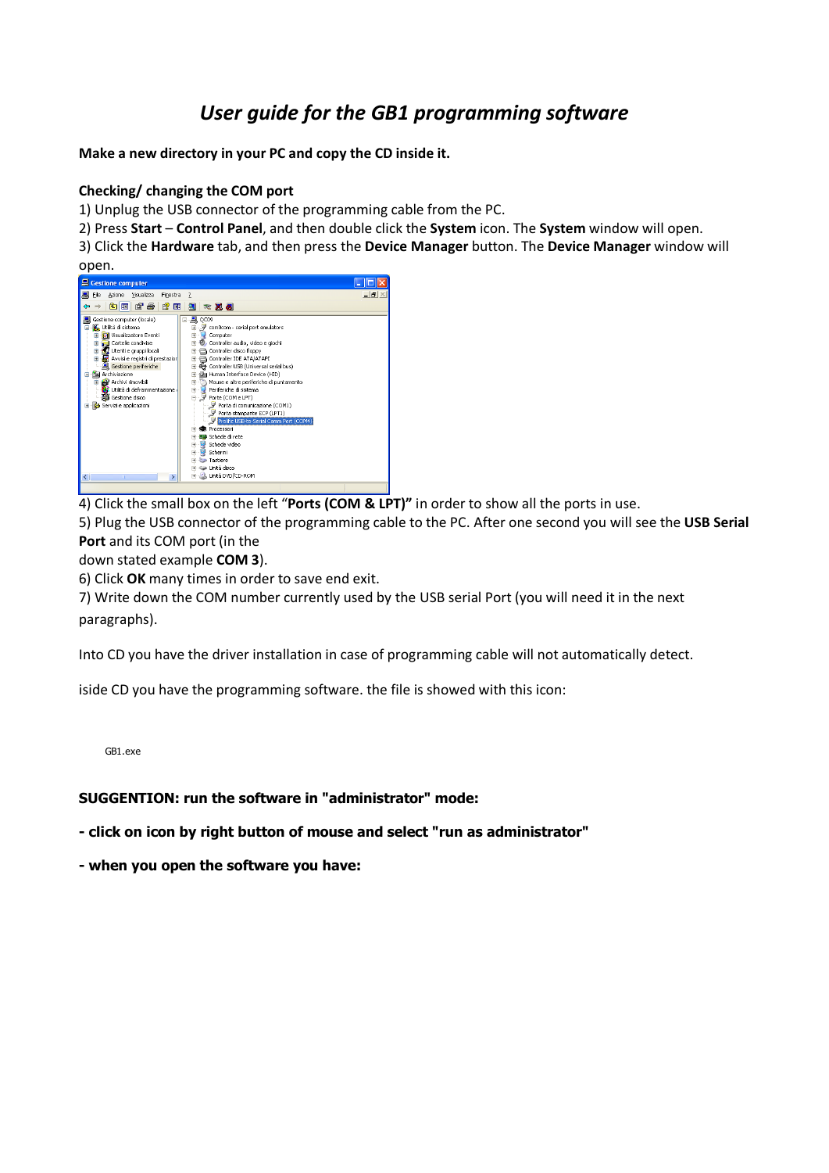## *User guide for the GB1 programming software*

**Make a new directory in your PC and copy the CD inside it.**

## **Checking/ changing the COM port**

1) Unplug the USB connector of the programming cable from the PC.

2) Press **Start** – **Control Panel**, and then double click the **System** icon. The **System** window will open.

3) Click the **Hardware** tab, and then press the **Device Manager** button. The **Device Manager** window will open.



4) Click the small box on the left "**Ports (COM & LPT)"** in order to show all the ports in use.

5) Plug the USB connector of the programming cable to the PC. After one second you will see the **USB Serial Port** and its COM port (in the

down stated example **COM 3**).

6) Click **OK** many times in order to save end exit.

7) Write down the COM number currently used by the USB serial Port (you will need it in the next paragraphs).

Into CD you have the driver installation in case of programming cable will not automatically detect.

iside CD you have the programming software. the file is showed with this icon:

GB1.exe

## **SUGGENTION: run the software in "administrator" mode:**

**- click on icon by right button of mouse and select "run as administrator"**

**- when you open the software you have:**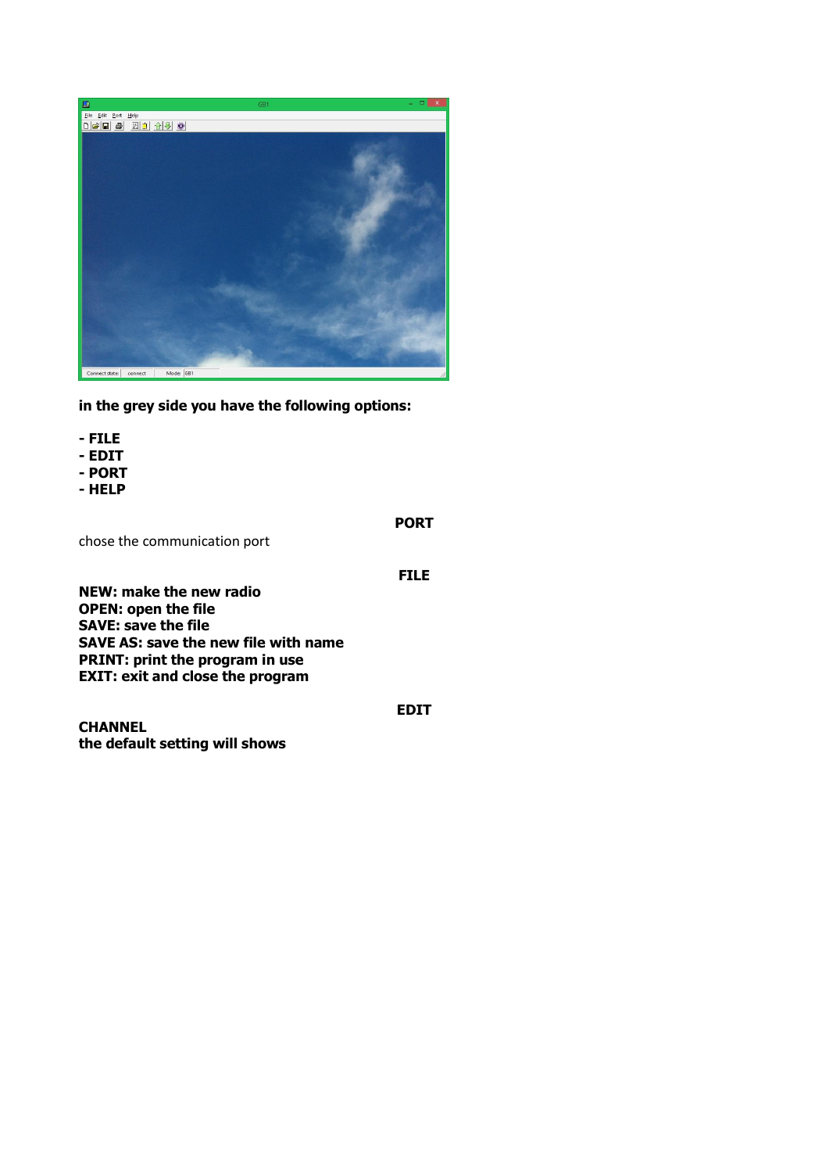

**in the grey side you have the following options:**

- **- FILE**
- **- EDIT**
- **- PORT**
- **- HELP**

**PORT**

chose the communication port

**FILE**

**EDIT**

**NEW: make the new radio OPEN: open the file SAVE: save the file SAVE AS: save the new file with name PRINT: print the program in use EXIT: exit and close the program**

**CHANNEL the default setting will shows**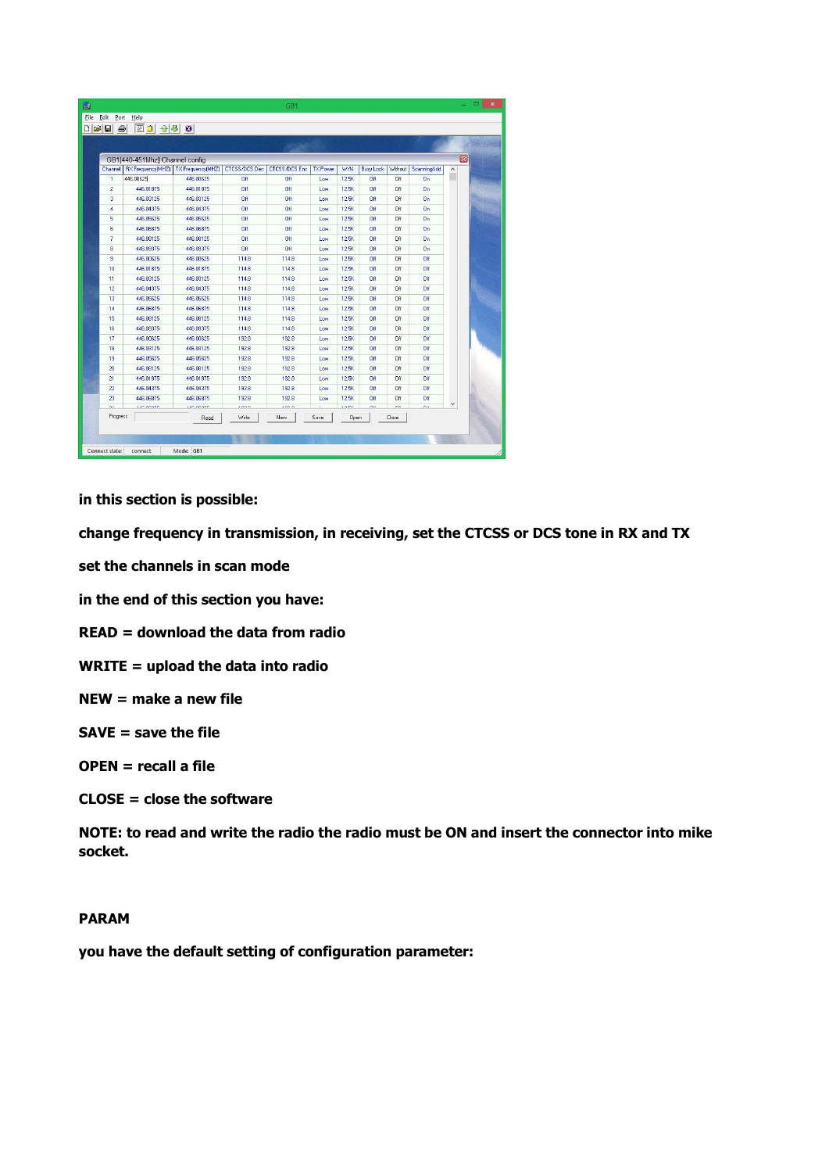|                | GB1[440-451Mhz] Channel config                  |                  |                      |                      |                 |              |                  |         |                | $\overline{\mathbf{x}}$ |
|----------------|-------------------------------------------------|------------------|----------------------|----------------------|-----------------|--------------|------------------|---------|----------------|-------------------------|
|                | Channel   RX Frequency(MHZ)   TX Frequency(MHZ) |                  | <b>CTCSS/DCS Dec</b> | <b>CTCSS/DCS Enc</b> | <b>TX Power</b> | W/N          | <b>Busy Lock</b> | Without | ScanningAdd    | $\land$                 |
| $\mathbf{1}$   | 446.00625                                       | 446 00625        | Πff                  | Off                  | Low             | 12.5K        | Off              | Off     | <b>On</b>      |                         |
| $\overline{c}$ | 446.01875                                       | 446.01875        | Off                  | Off                  | Low             | <b>12.5K</b> | Off              | Off     | On             |                         |
| 3              | 446.03125                                       | 446.03125        | Off                  | Off                  | Low             | <b>12.5K</b> | Off              | Off     | On             |                         |
| $\overline{4}$ | 446.04375                                       | 446.04375        | Off                  | Off                  | Low             | <b>12.5K</b> | Off              | Off     | 0 <sub>n</sub> |                         |
| 5              | 446.05625                                       | 446.05625        | Off                  | Off                  | Low             | <b>12.5K</b> | Off              | Off     | On             |                         |
| ß              | 446.06875                                       | 446.06875        | Off                  | Off                  | Low             | 12.5K        | Off              | Off     | <b>On</b>      |                         |
| $\overline{7}$ | 446.08125                                       | 446.08125        | Off                  | Off                  | Low             | <b>12.5K</b> | Off              | Off     | <b>On</b>      |                         |
| 8              | 446.09375                                       | 446.09375        | Off.                 | Off                  | Low             | <b>12.5K</b> | Off              | Off     | On.            |                         |
| 9              | 446.00625                                       | 446.00625        | 114.8                | 114.8                | Low             | 12.5K        | Off              | Off     | Off            |                         |
| 10             | 446.01875                                       | 446.01875        | 114.8                | 114.8                | Low             | <b>12.5K</b> | Off              | Off     | n#             |                         |
| 11             | 446.03125                                       | 446.03125        | 114.8                | 114.8                | Low             | <b>12.5K</b> | Off              | Off     | Off            |                         |
| 12             | 446.04375                                       | 446.04375        | 114.8                | 114.8                | Low             | <b>12.5K</b> | Off              | Off     | Off            |                         |
| 13             | 446.05625                                       | 446.05625        | 114.8                | 114.8                | Low             | <b>12.5K</b> | Off              | Off     | Off            |                         |
| 14             | 446.06875                                       | 446.06875        | 114.8                | 114.8                | Low             | 12.5K        | Off              | Off     | Off            |                         |
| 15             | 446.08125                                       | 446.08125        | 114.8                | 114.8                | Low             | 12.5K        | Off              | Off     | Off            |                         |
| 16             | 446.09375                                       | 446.09375        | 114.8                | 114.8                | Low             | <b>12.5K</b> | Off              | Off     | Off            |                         |
| 17             | 446.00625                                       | 446,00625        | 1928                 | 192.8                | Low             | 12.5K        | Off              | Off     | Off            |                         |
| 18             | 446.03125                                       | 446.03125        | 1928                 | 192.8                | Low             | 12.5K        | Off              | Off     | Off            |                         |
| 19             | 446.05625                                       | 446 05625        | 192.8                | 192.8                | Low             | 12.5K        | Off              | Off     | Off            |                         |
| 20             | 446.08125                                       | 446.08125        | 192.8                | 192.8                | Low             | <b>12.5K</b> | Off              | Off     | Off            |                         |
| 21             | 446.01875                                       | 446.01875        | 192.8                | 192.8                | Low             | <b>12.5K</b> | Off              | Off     | Off            |                         |
| 22             | 446.04375                                       | 446.04375        | 192.8                | 192.8                | Low             | <b>12.5K</b> | Off              | Off     | Off            |                         |
| 23             | 446.06875                                       | 446.06875        | 192.8                | 192.8                | Low             | <b>12.5K</b> | Off              | Off     | <b>DIE</b>     |                         |
| $\overline{a}$ | <b>LED GOODS</b>                                | <b>Lin noone</b> | son o                | son o                |                 | <b>Anima</b> | $rac{1}{2}$      | $\sim$  | $\overline{m}$ | $\checkmark$            |
| Progress       |                                                 | Read             | Write                | New                  | Save            | Open         |                  | Close   |                |                         |

**in this section is possible:**

**change frequency in transmission, in receiving, set the CTCSS or DCS tone in RX and TX**

**set the channels in scan mode**

**in the end of this section you have:**

**READ = download the data from radio**

**WRITE = upload the data into radio**

**NEW = make a new file**

**SAVE = save the file** 

**OPEN = recall a file**

**CLOSE = close the software**

**NOTE: to read and write the radio the radio must be ON and insert the connector into mike socket.**

## **PARAM**

**you have the default setting of configuration parameter:**